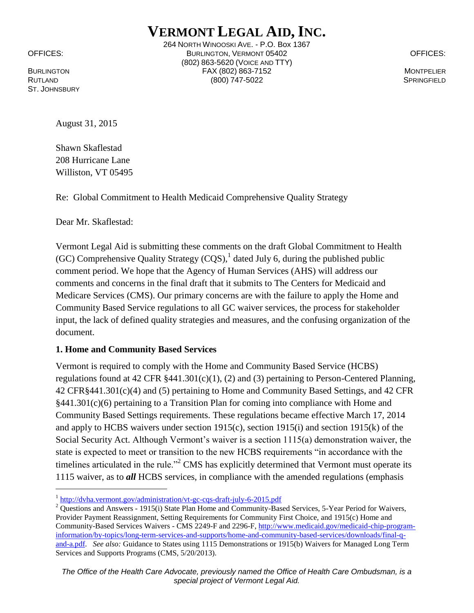ST. JOHNSBURY

 $\overline{a}$ 

**VERMONT LEGAL AID, INC.** 264 NORTH WINOOSKI AVE. - P.O. Box 1367 OFFICES: BURLINGTON, VERMONT 05402 OFFICES: (802) 863-5620 (VOICE AND TTY) BURLINGTON FAX (802) 863-7152 MONTPELIER RUTLAND (800) 747-5022 SPRINGFIELD

August 31, 2015

Shawn Skaflestad 208 Hurricane Lane Williston, VT 05495

Re: Global Commitment to Health Medicaid Comprehensive Quality Strategy

Dear Mr. Skaflestad:

Vermont Legal Aid is submitting these comments on the draft Global Commitment to Health (GC) Comprehensive Quality Strategy  $(CQS)$ , dated July 6, during the published public comment period. We hope that the Agency of Human Services (AHS) will address our comments and concerns in the final draft that it submits to The Centers for Medicaid and Medicare Services (CMS). Our primary concerns are with the failure to apply the Home and Community Based Service regulations to all GC waiver services, the process for stakeholder input, the lack of defined quality strategies and measures, and the confusing organization of the document.

# **1. Home and Community Based Services**

Vermont is required to comply with the Home and Community Based Service (HCBS) regulations found at 42 CFR §441.301(c)(1), (2) and (3) pertaining to Person-Centered Planning, 42 CFR§441.301(c)(4) and (5) pertaining to Home and Community Based Settings, and 42 CFR §441.301(c)(6) pertaining to a Transition Plan for coming into compliance with Home and Community Based Settings requirements. These regulations became effective March 17, 2014 and apply to HCBS waivers under section 1915(c), section 1915(i) and section 1915(k) of the Social Security Act. Although Vermont's waiver is a section 1115(a) demonstration waiver, the state is expected to meet or transition to the new HCBS requirements "in accordance with the timelines articulated in the rule."<sup>2</sup> CMS has explicitly determined that Vermont must operate its 1115 waiver, as to *all* HCBS services, in compliance with the amended regulations (emphasis

<sup>&</sup>lt;sup>1</sup> <http://dvha.vermont.gov/administration/vt-gc-cqs-draft-july-6-2015.pdf>

<sup>&</sup>lt;sup>2</sup> Questions and Answers - 1915(i) State Plan Home and Community-Based Services, 5-Year Period for Waivers, Provider Payment Reassignment, Setting Requirements for Community First Choice, and 1915(c) Home and Community-Based Services Waivers - CMS 2249-F and 2296-F, [http://www.medicaid.gov/medicaid-chip-program](http://www.medicaid.gov/medicaid-chip-program-information/by-topics/long-term-services-and-supports/home-and-community-based-services/downloads/final-q-and-a.pdf)[information/by-topics/long-term-services-and-supports/home-and-community-based-services/downloads/final-q](http://www.medicaid.gov/medicaid-chip-program-information/by-topics/long-term-services-and-supports/home-and-community-based-services/downloads/final-q-and-a.pdf)[and-a.pdf.](http://www.medicaid.gov/medicaid-chip-program-information/by-topics/long-term-services-and-supports/home-and-community-based-services/downloads/final-q-and-a.pdf) *See also:* Guidance to States using 1115 Demonstrations or 1915(b) Waivers for Managed Long Term Services and Supports Programs (CMS, 5/20/2013).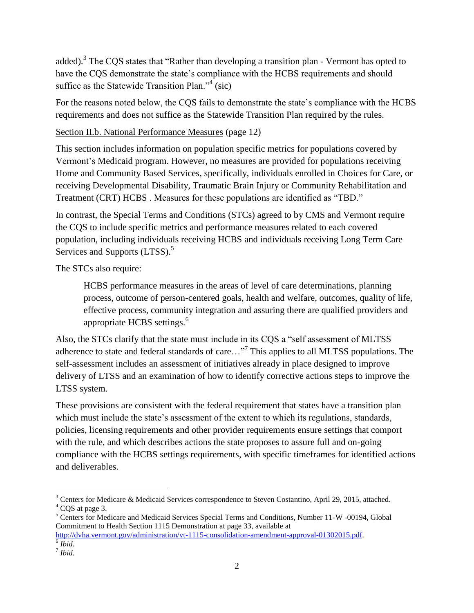added).<sup>3</sup> The CQS states that "Rather than developing a transition plan - Vermont has opted to have the CQS demonstrate the state's compliance with the HCBS requirements and should suffice as the Statewide Transition Plan."<sup>4</sup> (sic)

For the reasons noted below, the CQS fails to demonstrate the state's compliance with the HCBS requirements and does not suffice as the Statewide Transition Plan required by the rules.

## Section II.b. National Performance Measures (page 12)

This section includes information on population specific metrics for populations covered by Vermont's Medicaid program. However, no measures are provided for populations receiving Home and Community Based Services, specifically, individuals enrolled in Choices for Care, or receiving Developmental Disability, Traumatic Brain Injury or Community Rehabilitation and Treatment (CRT) HCBS . Measures for these populations are identified as "TBD."

In contrast, the Special Terms and Conditions (STCs) agreed to by CMS and Vermont require the CQS to include specific metrics and performance measures related to each covered population, including individuals receiving HCBS and individuals receiving Long Term Care Services and Supports (LTSS).<sup>5</sup>

The STCs also require:

HCBS performance measures in the areas of level of care determinations, planning process, outcome of person-centered goals, health and welfare, outcomes, quality of life, effective process, community integration and assuring there are qualified providers and appropriate HCBS settings.<sup>6</sup>

Also, the STCs clarify that the state must include in its CQS a "self assessment of MLTSS adherence to state and federal standards of care..."<sup>7</sup> This applies to all MLTSS populations. The self-assessment includes an assessment of initiatives already in place designed to improve delivery of LTSS and an examination of how to identify corrective actions steps to improve the LTSS system.

These provisions are consistent with the federal requirement that states have a transition plan which must include the state's assessment of the extent to which its regulations, standards, policies, licensing requirements and other provider requirements ensure settings that comport with the rule, and which describes actions the state proposes to assure full and on-going compliance with the HCBS settings requirements, with specific timeframes for identified actions and deliverables.

[http://dvha.vermont.gov/administration/vt-1115-consolidation-amendment-approval-01302015.pdf.](http://dvha.vermont.gov/administration/vt-1115-consolidation-amendment-approval-01302015.pdf) 6 *Ibid.*

 $\overline{a}$ 

<sup>&</sup>lt;sup>3</sup> Centers for Medicare & Medicaid Services correspondence to Steven Costantino, April 29, 2015, attached. <sup>4</sup> CQS at page 3.

<sup>5</sup> Centers for Medicare and Medicaid Services Special Terms and Conditions, Number 11-W -00194, Global Commitment to Health Section 1115 Demonstration at page 33, available at

<sup>7</sup> *Ibid.*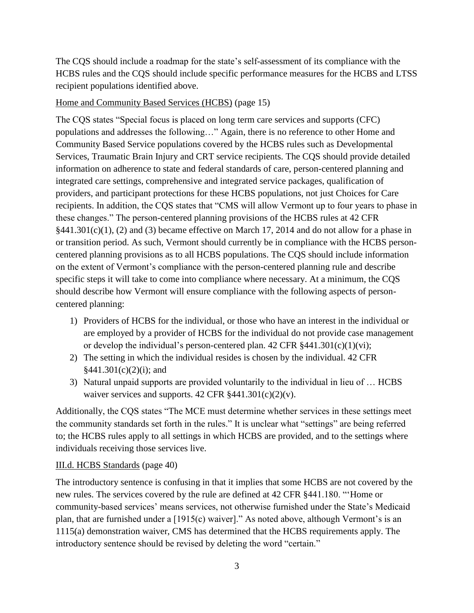The CQS should include a roadmap for the state's self-assessment of its compliance with the HCBS rules and the CQS should include specific performance measures for the HCBS and LTSS recipient populations identified above.

#### Home and Community Based Services (HCBS) (page 15)

The CQS states "Special focus is placed on long term care services and supports (CFC) populations and addresses the following…" Again, there is no reference to other Home and Community Based Service populations covered by the HCBS rules such as Developmental Services, Traumatic Brain Injury and CRT service recipients. The CQS should provide detailed information on adherence to state and federal standards of care, person-centered planning and integrated care settings, comprehensive and integrated service packages, qualification of providers, and participant protections for these HCBS populations, not just Choices for Care recipients. In addition, the CQS states that "CMS will allow Vermont up to four years to phase in these changes." The person-centered planning provisions of the HCBS rules at 42 CFR  $§441.301(c)(1)$ , (2) and (3) became effective on March 17, 2014 and do not allow for a phase in or transition period. As such, Vermont should currently be in compliance with the HCBS personcentered planning provisions as to all HCBS populations. The CQS should include information on the extent of Vermont's compliance with the person-centered planning rule and describe specific steps it will take to come into compliance where necessary. At a minimum, the CQS should describe how Vermont will ensure compliance with the following aspects of personcentered planning:

- 1) Providers of HCBS for the individual, or those who have an interest in the individual or are employed by a provider of HCBS for the individual do not provide case management or develop the individual's person-centered plan. 42 CFR  $§441.301(c)(1)(vi)$ ;
- 2) The setting in which the individual resides is chosen by the individual. 42 CFR  $§441.301(c)(2)(i);$  and
- 3) Natural unpaid supports are provided voluntarily to the individual in lieu of … HCBS waiver services and supports.  $42 \text{ CFR } \frac{441.301(c)(2)(v)}{2(v)}$ .

Additionally, the CQS states "The MCE must determine whether services in these settings meet the community standards set forth in the rules." It is unclear what "settings" are being referred to; the HCBS rules apply to all settings in which HCBS are provided, and to the settings where individuals receiving those services live.

### III.d. HCBS Standards (page 40)

The introductory sentence is confusing in that it implies that some HCBS are not covered by the new rules. The services covered by the rule are defined at 42 CFR §441.180. "'Home or community-based services' means services, not otherwise furnished under the State's Medicaid plan, that are furnished under a [1915(c) waiver]." As noted above, although Vermont's is an 1115(a) demonstration waiver, CMS has determined that the HCBS requirements apply. The introductory sentence should be revised by deleting the word "certain."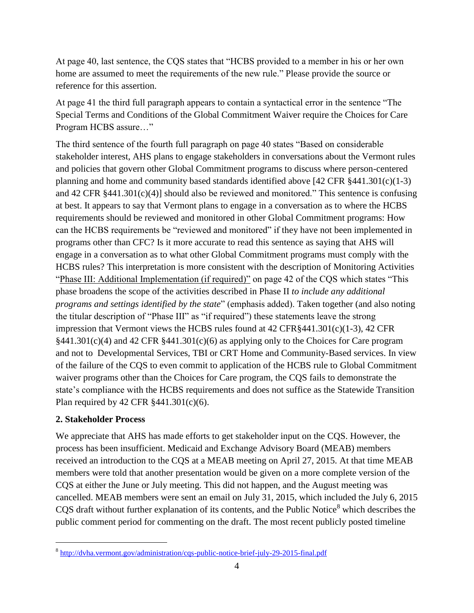At page 40, last sentence, the CQS states that "HCBS provided to a member in his or her own home are assumed to meet the requirements of the new rule." Please provide the source or reference for this assertion.

At page 41 the third full paragraph appears to contain a syntactical error in the sentence "The Special Terms and Conditions of the Global Commitment Waiver require the Choices for Care Program HCBS assure…"

The third sentence of the fourth full paragraph on page 40 states "Based on considerable stakeholder interest, AHS plans to engage stakeholders in conversations about the Vermont rules and policies that govern other Global Commitment programs to discuss where person-centered planning and home and community based standards identified above  $[42 \text{ CFR } \frac{8441.301(c)(1-3)}{42 \text{ CFR } \frac{6441}{c} \cdot 1}$ and 42 CFR §441.301(c)(4)] should also be reviewed and monitored." This sentence is confusing at best. It appears to say that Vermont plans to engage in a conversation as to where the HCBS requirements should be reviewed and monitored in other Global Commitment programs: How can the HCBS requirements be "reviewed and monitored" if they have not been implemented in programs other than CFC? Is it more accurate to read this sentence as saying that AHS will engage in a conversation as to what other Global Commitment programs must comply with the HCBS rules? This interpretation is more consistent with the description of Monitoring Activities "Phase III: Additional Implementation (if required)" on page 42 of the CQS which states "This phase broadens the scope of the activities described in Phase II *to include any additional programs and settings identified by the state*" (emphasis added). Taken together (and also noting the titular description of "Phase III" as "if required") these statements leave the strong impression that Vermont views the HCBS rules found at 42 CFR§441.301(c)(1-3), 42 CFR §441.301(c)(4) and 42 CFR §441.301(c)(6) as applying only to the Choices for Care program and not to Developmental Services, TBI or CRT Home and Community-Based services. In view of the failure of the CQS to even commit to application of the HCBS rule to Global Commitment waiver programs other than the Choices for Care program, the CQS fails to demonstrate the state's compliance with the HCBS requirements and does not suffice as the Statewide Transition Plan required by 42 CFR §441.301(c)(6).

### **2. Stakeholder Process**

 $\overline{a}$ 

We appreciate that AHS has made efforts to get stakeholder input on the CQS. However, the process has been insufficient. Medicaid and Exchange Advisory Board (MEAB) members received an introduction to the CQS at a MEAB meeting on April 27, 2015. At that time MEAB members were told that another presentation would be given on a more complete version of the CQS at either the June or July meeting. This did not happen, and the August meeting was cancelled. MEAB members were sent an email on July 31, 2015, which included the July 6, 2015 CQS draft without further explanation of its contents, and the Public Notice<sup>8</sup> which describes the public comment period for commenting on the draft. The most recent publicly posted timeline

<sup>&</sup>lt;sup>8</sup> <http://dvha.vermont.gov/administration/cqs-public-notice-brief-july-29-2015-final.pdf>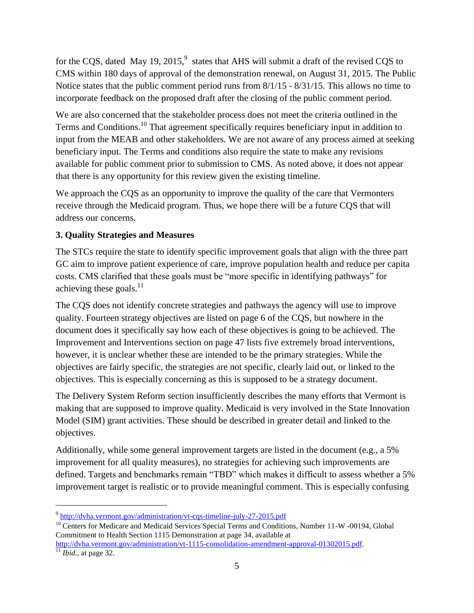for the CQS, dated May 19, 2015,<sup>9</sup> states that AHS will submit a draft of the revised CQS to CMS within 180 days of approval of the demonstration renewal, on August 31, 2015. The Public Notice states that the public comment period runs from 8/1/15 - 8/31/15. This allows no time to incorporate feedback on the proposed draft after the closing of the public comment period.

We are also concerned that the stakeholder process does not meet the criteria outlined in the Terms and Conditions.<sup>10</sup> That agreement specifically requires beneficiary input in addition to input from the MEAB and other stakeholders. We are not aware of any process aimed at seeking beneficiary input. The Terms and conditions also require the state to make any revisions available for public comment prior to submission to CMS. As noted above, it does not appear that there is any opportunity for this review given the existing timeline.

We approach the CQS as an opportunity to improve the quality of the care that Vermonters receive through the Medicaid program. Thus, we hope there will be a future CQS that will address our concerns.

## **3. Quality Strategies and Measures**

The STCs require the state to identify specific improvement goals that align with the three part GC aim to improve patient experience of care, improve population health and reduce per capita costs. CMS clarified that these goals must be "more specific in identifying pathways" for achieving these goals. $^{11}$ 

The CQS does not identify concrete strategies and pathways the agency will use to improve quality. Fourteen strategy objectives are listed on page 6 of the CQS, but nowhere in the document does it specifically say how each of these objectives is going to be achieved. The Improvement and Interventions section on page 47 lists five extremely broad interventions, however, it is unclear whether these are intended to be the primary strategies. While the objectives are fairly specific, the strategies are not specific, clearly laid out, or linked to the objectives. This is especially concerning as this is supposed to be a strategy document.

The Delivery System Reform section insufficiently describes the many efforts that Vermont is making that are supposed to improve quality. Medicaid is very involved in the State Innovation Model (SIM) grant activities. These should be described in greater detail and linked to the objectives.

Additionally, while some general improvement targets are listed in the document (e.g., a 5% improvement for all quality measures), no strategies for achieving such improvements are defined. Targets and benchmarks remain "TBD" which makes it difficult to assess whether a 5% improvement target is realistic or to provide meaningful comment. This is especially confusing

 $\overline{a}$ 

<sup>&</sup>lt;sup>9</sup> <http://dvha.vermont.gov/administration/vt-cqs-timeline-july-27-2015.pdf>

<sup>&</sup>lt;sup>10</sup> Centers for Medicare and Medicaid Services Special Terms and Conditions, Number 11-W -00194, Global Commitment to Health Section 1115 Demonstration at page 34, available at

[http://dvha.vermont.gov/administration/vt-1115-consolidation-amendment-approval-01302015.pdf.](http://dvha.vermont.gov/administration/vt-1115-consolidation-amendment-approval-01302015.pdf)  $11$  *Ibid.*, at page 32.